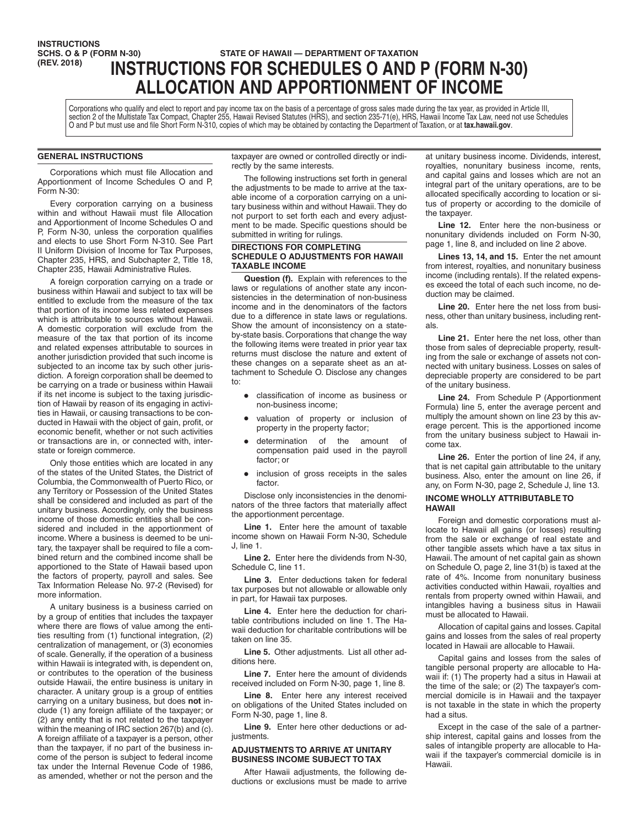# **INSTRUCTIONS<br>SCHS. O & P (FORM N-30) SCHS. O & P (FORM N-30) STATE OF HAWAII — DEPARTMENT OF TAXATION**<br>
(REV. 2018) **INICTOUCTIONS FOR COUFBULLES O AND (REV. 2018) INSTRUCTIONS FOR SCHEDULES O AND P (FORM N-30) ALLOCATION AND APPORTIONMENT OF INCOME**

Corporations who qualify and elect to report and pay income tax on the basis of a percentage of gross sales made during the tax year, as provided in Article III, section 2 of the Multistate Tax Compact, Chapter 255, Hawaii Revised Statutes (HRS), and section 235-71(e), HRS, Hawaii Income Tax Law, need not use Schedules O and P but must use and file Short Form N-310, copies of which may be obtained by contacting the Department of Taxation, or at **tax.hawaii.gov**.

# **GENERAL INSTRUCTIONS**

Corporations which must file Allocation and Apportionment of Income Schedules O and P, Form N-30:

Every corporation carrying on a business within and without Hawaii must file Allocation and Apportionment of Income Schedules O and P, Form N-30, unless the corporation qualifies and elects to use Short Form N-310. See Part II Uniform Division of Income for Tax Purposes, Chapter 235, HRS, and Subchapter 2, Title 18, Chapter 235, Hawaii Administrative Rules.

A foreign corporation carrying on a trade or business within Hawaii and subject to tax will be entitled to exclude from the measure of the tax that portion of its income less related expenses which is attributable to sources without Hawaii. A domestic corporation will exclude from the measure of the tax that portion of its income and related expenses attributable to sources in another jurisdiction provided that such income is subjected to an income tax by such other jurisdiction. A foreign corporation shall be deemed to be carrying on a trade or business within Hawaii if its net income is subject to the taxing jurisdiction of Hawaii by reason of its engaging in activities in Hawaii, or causing transactions to be conducted in Hawaii with the object of gain, profit, or economic benefit, whether or not such activities or transactions are in, or connected with, interstate or foreign commerce.

Only those entities which are located in any of the states of the United States, the District of Columbia, the Commonwealth of Puerto Rico, or any Territory or Possession of the United States shall be considered and included as part of the unitary business. Accordingly, only the business income of those domestic entities shall be considered and included in the apportionment of income. Where a business is deemed to be unitary, the taxpayer shall be required to file a combined return and the combined income shall be apportioned to the State of Hawaii based upon the factors of property, payroll and sales. See Tax Information Release No. 97-2 (Revised) for more information.

A unitary business is a business carried on by a group of entities that includes the taxpayer where there are flows of value among the entities resulting from (1) functional integration, (2) centralization of management, or (3) economies of scale. Generally, if the operation of a business within Hawaii is integrated with, is dependent on, or contributes to the operation of the business outside Hawaii, the entire business is unitary in character. A unitary group is a group of entities carrying on a unitary business, but does **not** include (1) any foreign affiliate of the taxpayer; or (2) any entity that is not related to the taxpayer within the meaning of IRC section 267(b) and (c). A foreign affiliate of a taxpayer is a person, other than the taxpayer, if no part of the business income of the person is subject to federal income tax under the Internal Revenue Code of 1986, as amended, whether or not the person and the

taxpayer are owned or controlled directly or indirectly by the same interests.

The following instructions set forth in general the adjustments to be made to arrive at the taxable income of a corporation carrying on a unitary business within and without Hawaii. They do not purport to set forth each and every adjustment to be made. Specific questions should be submitted in writing for rulings.

#### **DIRECTIONS FOR COMPLETING SCHEDULE O ADJUSTMENTS FOR HAWAII TAXABLE INCOME**

**Question (f).** Explain with references to the laws or regulations of another state any inconsistencies in the determination of non-business income and in the denominators of the factors due to a difference in state laws or regulations. Show the amount of inconsistency on a stateby-state basis. Corporations that change the way the following items were treated in prior year tax returns must disclose the nature and extent of these changes on a separate sheet as an attachment to Schedule O. Disclose any changes to:

- classification of income as business or non-business income;
- valuation of property or inclusion of property in the property factor;
- determination of the amount of compensation paid used in the payroll factor; or
- inclusion of gross receipts in the sales factor.

Disclose only inconsistencies in the denominators of the three factors that materially affect the apportionment percentage.

**Line 1.** Enter here the amount of taxable income shown on Hawaii Form N-30, Schedule J, line 1.

**Line 2.** Enter here the dividends from N-30, Schedule C, line 11.

**Line 3.** Enter deductions taken for federal tax purposes but not allowable or allowable only in part, for Hawaii tax purposes.

**Line 4.** Enter here the deduction for charitable contributions included on line 1. The Hawaii deduction for charitable contributions will be taken on line 35.

**Line 5.** Other adjustments. List all other additions here.

**Line 7.** Enter here the amount of dividends received included on Form N-30, page 1, line 8.

**Line 8.** Enter here any interest received on obligations of the United States included on Form N-30, page 1, line 8.

**Line 9.** Enter here other deductions or adjustments.

# **ADJUSTMENTS TO ARRIVE AT UNITARY BUSINESS INCOME SUBJECT TO TAX**

After Hawaii adjustments, the following deductions or exclusions must be made to arrive

at unitary business income. Dividends, interest, royalties, nonunitary business income, rents, and capital gains and losses which are not an integral part of the unitary operations, are to be allocated specifically according to location or situs of property or according to the domicile of the taxpayer.

**Line 12.** Enter here the non-business or nonunitary dividends included on Form N-30, page 1, line 8, and included on line 2 above.

**Lines 13, 14, and 15.** Enter the net amount from interest, royalties, and nonunitary business income (including rentals). If the related expenses exceed the total of each such income, no deduction may be claimed.

**Line 20.** Enter here the net loss from business, other than unitary business, including rentals.

**Line 21.** Enter here the net loss, other than those from sales of depreciable property, resulting from the sale or exchange of assets not connected with unitary business. Losses on sales of depreciable property are considered to be part of the unitary business.

**Line 24.** From Schedule P (Apportionment Formula) line 5, enter the average percent and multiply the amount shown on line 23 by this average percent. This is the apportioned income from the unitary business subject to Hawaii income tax.

**Line 26.** Enter the portion of line 24, if any, that is net capital gain attributable to the unitary business. Also, enter the amount on line 26, if any, on Form N-30, page 2, Schedule J, line 13.

# **INCOME WHOLLY ATTRIBUTABLE TO HAWAII**

Foreign and domestic corporations must allocate to Hawaii all gains (or losses) resulting from the sale or exchange of real estate and other tangible assets which have a tax situs in Hawaii. The amount of net capital gain as shown on Schedule O, page 2, line 31(b) is taxed at the rate of 4%. Income from nonunitary business activities conducted within Hawaii, royalties and rentals from property owned within Hawaii, and intangibles having a business situs in Hawaii must be allocated to Hawaii.

Allocation of capital gains and losses. Capital gains and losses from the sales of real property located in Hawaii are allocable to Hawaii.

Capital gains and losses from the sales of tangible personal property are allocable to Hawaii if: (1) The property had a situs in Hawaii at the time of the sale; or (2) The taxpayer's commercial domicile is in Hawaii and the taxpayer is not taxable in the state in which the property had a situs.

Except in the case of the sale of a partnership interest, capital gains and losses from the sales of intangible property are allocable to Hawaii if the taxpayer's commercial domicile is in Hawaii.